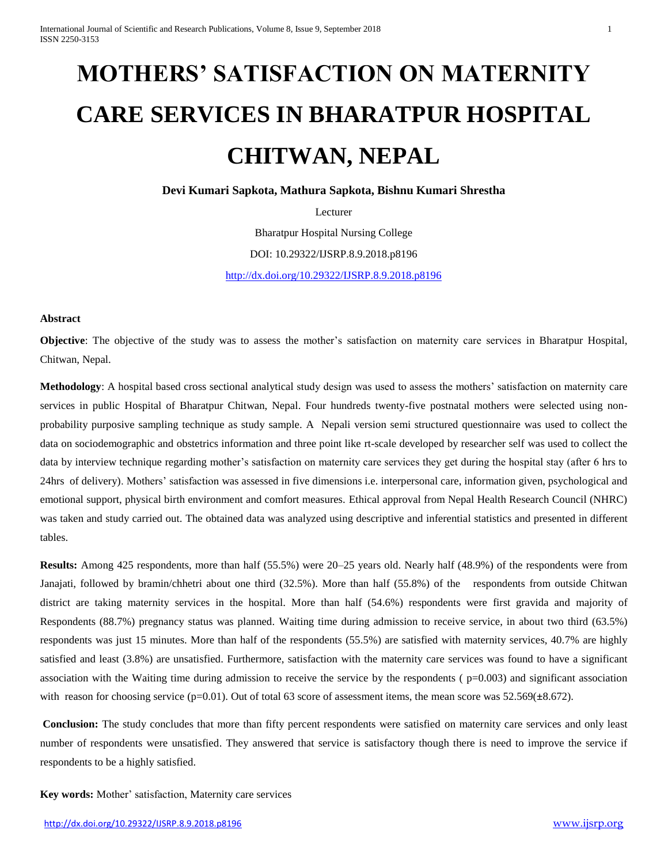# **MOTHERS' SATISFACTION ON MATERNITY CARE SERVICES IN BHARATPUR HOSPITAL CHITWAN, NEPAL**

**Devi Kumari Sapkota, Mathura Sapkota, Bishnu Kumari Shrestha**

Lecturer

Bharatpur Hospital Nursing College

DOI: 10.29322/IJSRP.8.9.2018.p8196

<http://dx.doi.org/10.29322/IJSRP.8.9.2018.p8196>

#### **Abstract**

**Objective**: The objective of the study was to assess the mother's satisfaction on maternity care services in Bharatpur Hospital, Chitwan, Nepal.

**Methodology**: A hospital based cross sectional analytical study design was used to assess the mothers' satisfaction on maternity care services in public Hospital of Bharatpur Chitwan, Nepal. Four hundreds twenty-five postnatal mothers were selected using nonprobability purposive sampling technique as study sample. A Nepali version semi structured questionnaire was used to collect the data on sociodemographic and obstetrics information and three point like rt-scale developed by researcher self was used to collect the data by interview technique regarding mother's satisfaction on maternity care services they get during the hospital stay (after 6 hrs to 24hrs of delivery). Mothers' satisfaction was assessed in five dimensions i.e. interpersonal care, information given, psychological and emotional support, physical birth environment and comfort measures. Ethical approval from Nepal Health Research Council (NHRC) was taken and study carried out. The obtained data was analyzed using descriptive and inferential statistics and presented in different tables.

**Results:** Among 425 respondents, more than half (55.5%) were 20–25 years old. Nearly half (48.9%) of the respondents were from Janajati, followed by bramin/chhetri about one third (32.5%). More than half (55.8%) of the respondents from outside Chitwan district are taking maternity services in the hospital. More than half (54.6%) respondents were first gravida and majority of Respondents (88.7%) pregnancy status was planned. Waiting time during admission to receive service, in about two third (63.5%) respondents was just 15 minutes. More than half of the respondents (55.5%) are satisfied with maternity services, 40.7% are highly satisfied and least (3.8%) are unsatisfied. Furthermore, satisfaction with the maternity care services was found to have a significant association with the Waiting time during admission to receive the service by the respondents ( $p=0.003$ ) and significant association with reason for choosing service (p=0.01). Out of total 63 score of assessment items, the mean score was 52.569(±8.672).

**Conclusion:** The study concludes that more than fifty percent respondents were satisfied on maternity care services and only least number of respondents were unsatisfied. They answered that service is satisfactory though there is need to improve the service if respondents to be a highly satisfied.

**Key words:** Mother' satisfaction, Maternity care services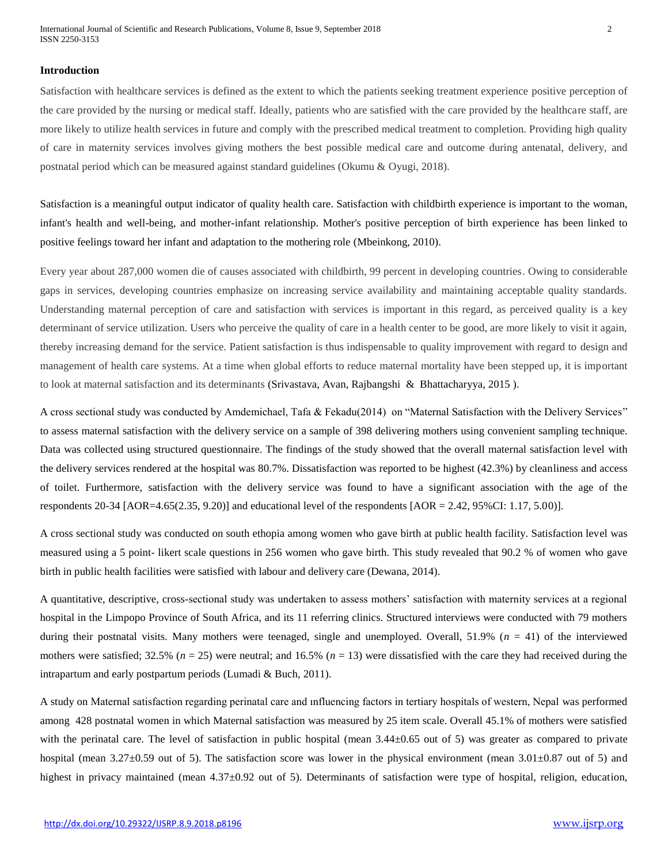International Journal of Scientific and Research Publications, Volume 8, Issue 9, September 2018 2 ISSN 2250-3153

#### **Introduction**

Satisfaction with healthcare services is defined as the extent to which the patients seeking treatment experience positive perception of the care provided by the nursing or medical staff. Ideally, patients who are satisfied with the care provided by the healthcare staff, are more likely to utilize health services in future and comply with the prescribed medical treatment to completion. Providing high quality of care in maternity services involves giving mothers the best possible medical care and outcome during antenatal, delivery, and postnatal period which can be measured against standard guidelines (Okumu & Oyugi, 2018).

Satisfaction is a meaningful output indicator of quality health care. Satisfaction with childbirth experience is important to the woman, infant's health and well-being, and mother-infant relationship. Mother's positive perception of birth experience has been linked to positive feelings toward her infant and adaptation to the mothering role (Mbeinkong, 2010).

Every year about 287,000 women die of causes associated with childbirth, 99 percent in developing countries. Owing to considerable gaps in services, developing countries emphasize on increasing service availability and maintaining acceptable quality standards. Understanding maternal perception of care and satisfaction with services is important in this regard, as perceived quality is a key determinant of service utilization. Users who perceive the quality of care in a health center to be good, are more likely to visit it again, thereby increasing demand for the service. Patient satisfaction is thus indispensable to quality improvement with regard to design and management of health care systems. At a time when global efforts to reduce maternal mortality have been stepped up, it is important to look at maternal satisfaction and its determinants (Srivastava, Avan, Rajbangshi & Bhattacharyya, 2015 ).

A cross sectional study was conducted by Amdemichael, Tafa & Fekadu(2014) on "Maternal Satisfaction with the Delivery Services" to assess maternal satisfaction with the delivery service on a sample of 398 delivering mothers using convenient sampling technique. Data was collected using structured questionnaire. The findings of the study showed that the overall maternal satisfaction level with the delivery services rendered at the hospital was 80.7%. Dissatisfaction was reported to be highest (42.3%) by cleanliness and access of toilet. Furthermore, satisfaction with the delivery service was found to have a significant association with the age of the respondents  $20-34$  [AOR=4.65(2.35, 9.20)] and educational level of the respondents [AOR = 2.42, 95%CI: 1.17, 5.00)].

A cross sectional study was conducted on south ethopia among women who gave birth at public health facility. Satisfaction level was measured using a 5 point- likert scale questions in 256 women who gave birth. This study revealed that 90.2 % of women who gave birth in public health facilities were satisfied with labour and delivery care (Dewana, 2014).

A quantitative, descriptive, cross-sectional study was undertaken to assess mothers' satisfaction with maternity services at a regional hospital in the Limpopo Province of South Africa, and its 11 referring clinics. Structured interviews were conducted with 79 mothers during their postnatal visits. Many mothers were teenaged, single and unemployed. Overall,  $51.9\%$  ( $n = 41$ ) of the interviewed mothers were satisfied;  $32.5\%$  ( $n = 25$ ) were neutral; and  $16.5\%$  ( $n = 13$ ) were dissatisfied with the care they had received during the intrapartum and early postpartum periods (Lumadi & Buch, 2011).

A study on Maternal satisfaction regarding perinatal care and ınfluencing factors in tertiary hospitals of western, Nepal was performed among 428 postnatal women in which Maternal satisfaction was measured by 25 item scale. Overall 45.1% of mothers were satisfied with the perinatal care. The level of satisfaction in public hospital (mean  $3.44\pm0.65$  out of 5) was greater as compared to private hospital (mean 3.27±0.59 out of 5). The satisfaction score was lower in the physical environment (mean 3.01±0.87 out of 5) and highest in privacy maintained (mean 4.37±0.92 out of 5). Determinants of satisfaction were type of hospital, religion, education,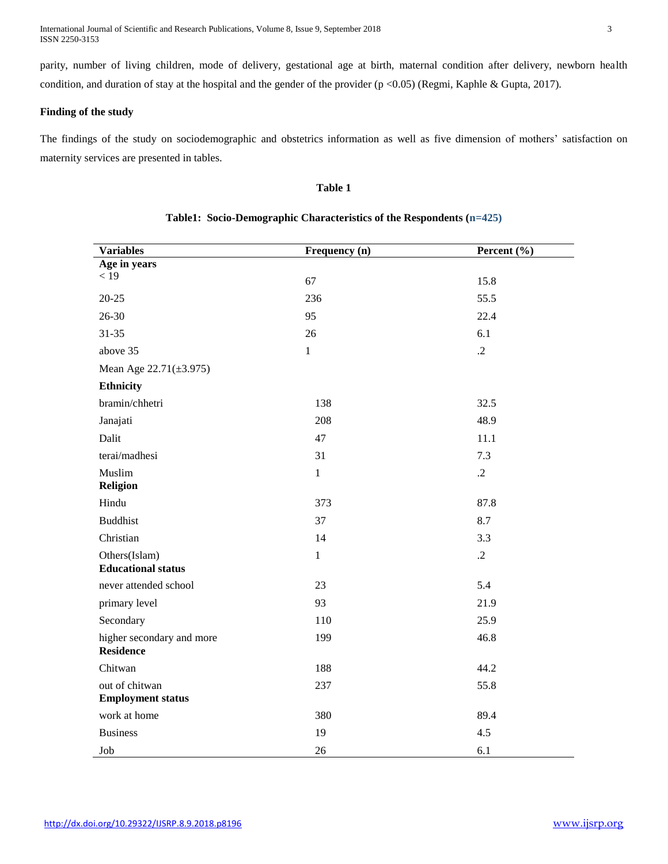International Journal of Scientific and Research Publications, Volume 8, Issue 9, September 2018 3 ISSN 2250-3153

parity, number of living children, mode of delivery, gestational age at birth, maternal condition after delivery, newborn health condition, and duration of stay at the hospital and the gender of the provider (p <0.05) (Regmi, Kaphle & Gupta, 2017).

## **Finding of the study**

The findings of the study on sociodemographic and obstetrics information as well as five dimension of mothers' satisfaction on maternity services are presented in tables.

## **Table 1**

| <b>Variables</b>                              | Frequency (n) | Percent (%) |
|-----------------------------------------------|---------------|-------------|
| Age in years                                  |               |             |
| < 19                                          | 67            | 15.8        |
| $20 - 25$                                     | 236           | 55.5        |
| 26-30                                         | 95            | 22.4        |
| $31 - 35$                                     | 26            | 6.1         |
| above 35                                      | $\mathbf{1}$  | $\cdot$ .2  |
| Mean Age 22.71(±3.975)                        |               |             |
| <b>Ethnicity</b>                              |               |             |
| bramin/chhetri                                | 138           | 32.5        |
| Janajati                                      | 208           | 48.9        |
| Dalit                                         | 47            | 11.1        |
| terai/madhesi                                 | 31            | 7.3         |
| Muslim<br><b>Religion</b>                     | $\mathbf{1}$  | $\cdot$ .2  |
| Hindu                                         | 373           | 87.8        |
|                                               |               |             |
| <b>Buddhist</b>                               | 37            | 8.7         |
| Christian                                     | 14            | 3.3         |
| Others(Islam)<br><b>Educational status</b>    | $\mathbf{1}$  | $\cdot$ .2  |
| never attended school                         | 23            | 5.4         |
| primary level                                 | 93            | 21.9        |
| Secondary                                     | 110           | 25.9        |
| higher secondary and more<br><b>Residence</b> | 199           | 46.8        |
| Chitwan                                       | 188           | 44.2        |
| out of chitwan<br><b>Employment status</b>    | 237           | 55.8        |
| work at home                                  | 380           | 89.4        |
| <b>Business</b>                               | 19            | 4.5         |
| Job                                           | 26            | 6.1         |

# **Table1: Socio-Demographic Characteristics of the Respondents (n=425)**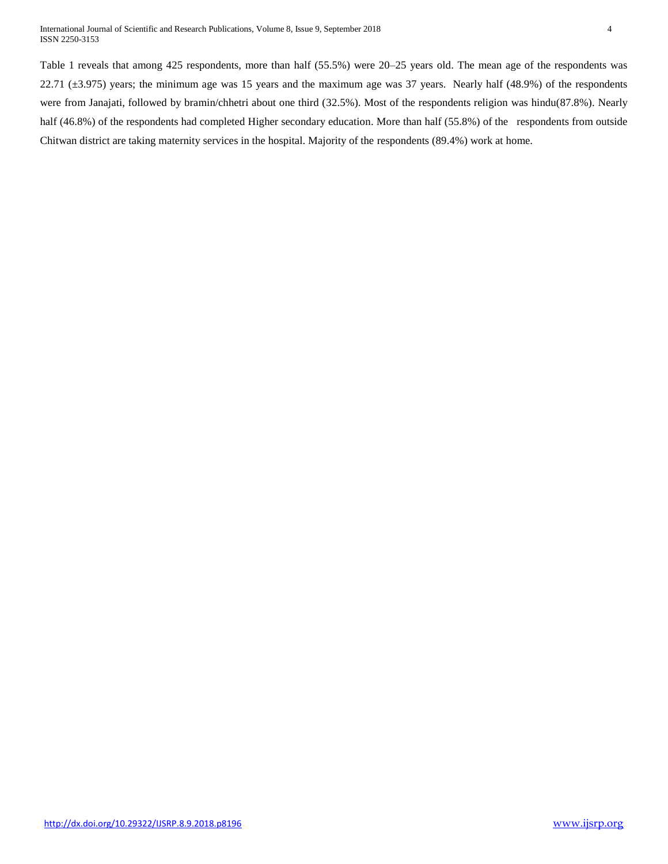Table 1 reveals that among 425 respondents, more than half (55.5%) were 20–25 years old. The mean age of the respondents was 22.71 (±3.975) years; the minimum age was 15 years and the maximum age was 37 years. Nearly half (48.9%) of the respondents were from Janajati, followed by bramin/chhetri about one third (32.5%). Most of the respondents religion was hindu(87.8%). Nearly half (46.8%) of the respondents had completed Higher secondary education. More than half (55.8%) of the respondents from outside Chitwan district are taking maternity services in the hospital. Majority of the respondents (89.4%) work at home.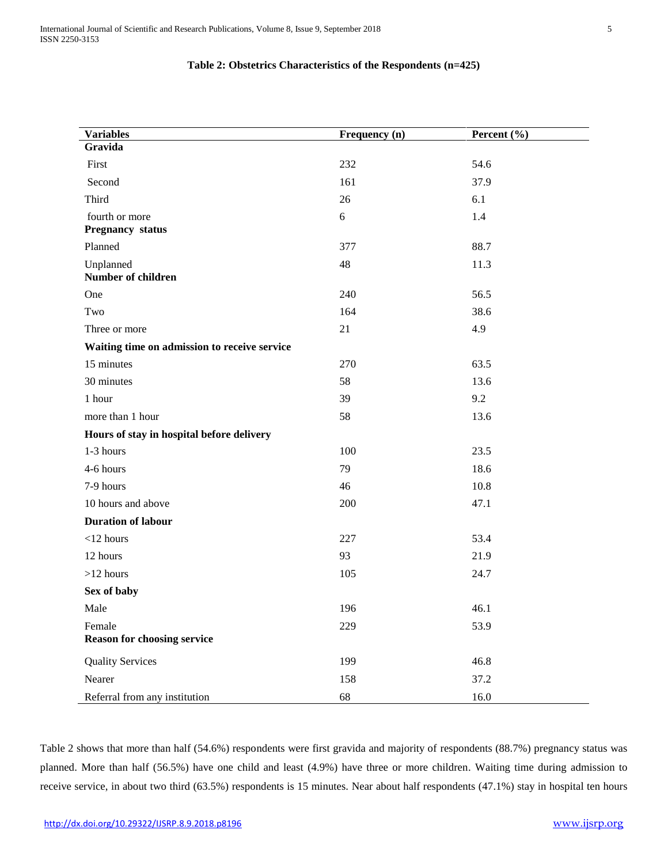# **Table 2: Obstetrics Characteristics of the Respondents (n=425)**

| <b>Variables</b>                             | Frequency (n) | Percent $(\% )$ |
|----------------------------------------------|---------------|-----------------|
| Gravida                                      |               |                 |
| First                                        | 232           | 54.6            |
| Second                                       | 161           | 37.9            |
| Third                                        | 26            | 6.1             |
| fourth or more<br><b>Pregnancy status</b>    | 6             | 1.4             |
| Planned                                      | 377           | 88.7            |
| Unplanned                                    | 48            | 11.3            |
| Number of children                           |               |                 |
| One                                          | 240           | 56.5            |
| Two                                          | 164           | 38.6            |
| Three or more                                | 21            | 4.9             |
| Waiting time on admission to receive service |               |                 |
| 15 minutes                                   | 270           | 63.5            |
| 30 minutes                                   | 58            | 13.6            |
| 1 hour                                       | 39            | 9.2             |
| more than 1 hour                             | 58            | 13.6            |
| Hours of stay in hospital before delivery    |               |                 |
| 1-3 hours                                    | 100           | 23.5            |
| 4-6 hours                                    | 79            | 18.6            |
| 7-9 hours                                    | 46            | 10.8            |
| 10 hours and above                           | 200           | 47.1            |
| <b>Duration of labour</b>                    |               |                 |
| $<$ 12 hours                                 | 227           | 53.4            |
| 12 hours                                     | 93            | 21.9            |
| $>12$ hours                                  | 105           | 24.7            |
| Sex of baby                                  |               |                 |
| Male                                         | 196           | 46.1            |
| Female                                       | 229           | 53.9            |
| <b>Reason for choosing service</b>           |               |                 |
| <b>Quality Services</b>                      | 199           | 46.8            |
| Nearer                                       | 158           | 37.2            |
| Referral from any institution                | 68            | 16.0            |

Table 2 shows that more than half (54.6%) respondents were first gravida and majority of respondents (88.7%) pregnancy status was planned. More than half (56.5%) have one child and least (4.9%) have three or more children. Waiting time during admission to receive service, in about two third (63.5%) respondents is 15 minutes. Near about half respondents (47.1%) stay in hospital ten hours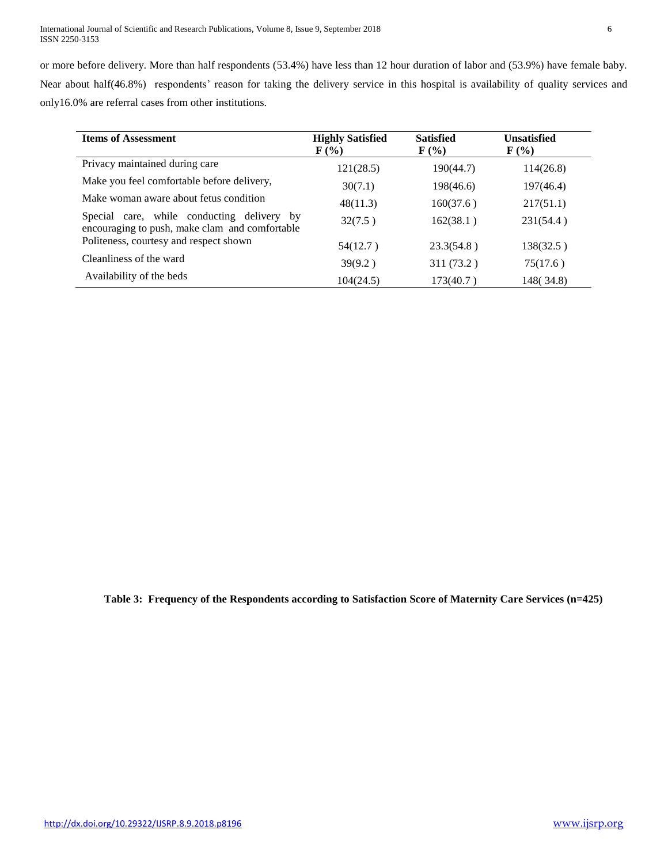| <b>Items of Assessment</b>                                                                   | <b>Highly Satisfied</b><br>$\mathbf{F}(\mathcal{V}_0)$ | <b>Satisfied</b><br>$\mathbf{F}(\mathcal{V}_0)$ | <b>Unsatisfied</b><br>$\mathbf{F}(\mathcal{C})$ |
|----------------------------------------------------------------------------------------------|--------------------------------------------------------|-------------------------------------------------|-------------------------------------------------|
| Privacy maintained during care                                                               | 121(28.5)                                              | 190(44.7)                                       | 114(26.8)                                       |
| Make you feel comfortable before delivery,                                                   | 30(7.1)                                                | 198(46.6)                                       | 197(46.4)                                       |
| Make woman aware about fetus condition                                                       | 48(11.3)                                               | 160(37.6)                                       | 217(51.1)                                       |
| Special care, while conducting delivery by<br>encouraging to push, make clam and comfortable | 32(7.5)                                                | 162(38.1)                                       | 231(54.4)                                       |
| Politeness, courtesy and respect shown                                                       | 54(12.7)                                               | 23.3(54.8)                                      | 138(32.5)                                       |
| Cleanliness of the ward                                                                      | 39(9.2)                                                | 311 (73.2)                                      | 75(17.6)                                        |
| Availability of the beds                                                                     | 104(24.5)                                              | 173(40.7)                                       | 148(34.8)                                       |

**Table 3: Frequency of the Respondents according to Satisfaction Score of Maternity Care Services (n=425)**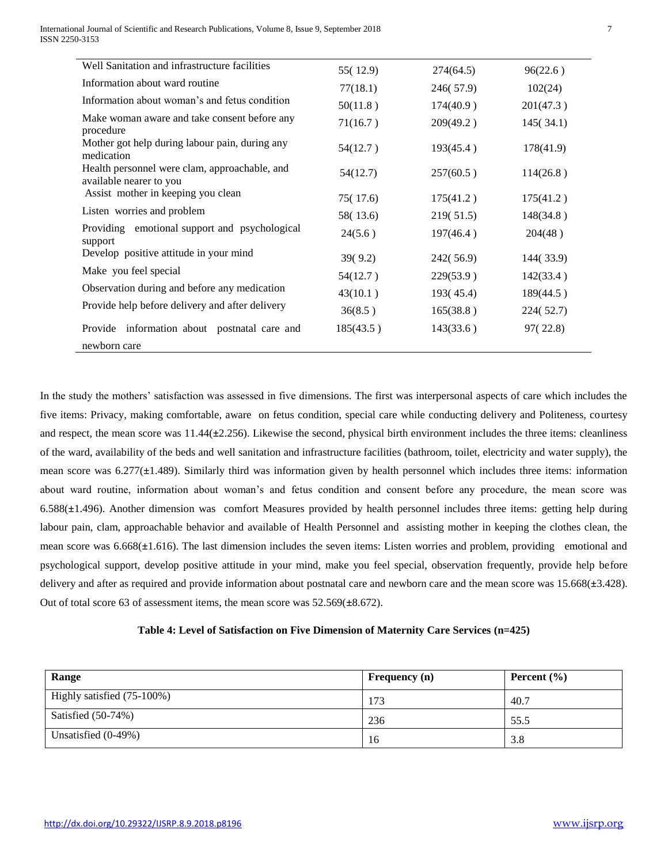| Well Sanitation and infrastructure facilities                            | 55(12.9)  | 274(64.5) | 96(22.6)  |
|--------------------------------------------------------------------------|-----------|-----------|-----------|
| Information about ward routine                                           | 77(18.1)  | 246(57.9) | 102(24)   |
| Information about woman's and fetus condition                            | 50(11.8)  | 174(40.9) | 201(47.3) |
| Make woman aware and take consent before any<br>procedure                | 71(16.7)  | 209(49.2) | 145(34.1) |
| Mother got help during labour pain, during any<br>medication             | 54(12.7)  | 193(45.4) | 178(41.9) |
| Health personnel were clam, approachable, and<br>available nearer to you | 54(12.7)  | 257(60.5) | 114(26.8) |
| Assist mother in keeping you clean                                       | 75(17.6)  | 175(41.2) | 175(41.2) |
| Listen worries and problem                                               | 58(13.6)  | 219(51.5) | 148(34.8) |
| Providing emotional support and psychological<br>support                 | 24(5.6)   | 197(46.4) | 204(48)   |
| Develop positive attitude in your mind                                   | 39(9.2)   | 242(56.9) | 144(33.9) |
| Make you feel special                                                    | 54(12.7)  | 229(53.9) | 142(33.4) |
| Observation during and before any medication                             | 43(10.1)  | 193(45.4) | 189(44.5) |
| Provide help before delivery and after delivery                          | 36(8.5)   | 165(38.8) | 224(52.7) |
| Provide information about postnatal care and                             | 185(43.5) | 143(33.6) | 97(22.8)  |
| newborn care                                                             |           |           |           |

In the study the mothers' satisfaction was assessed in five dimensions. The first was interpersonal aspects of care which includes the five items: Privacy, making comfortable, aware on fetus condition, special care while conducting delivery and Politeness, courtesy and respect, the mean score was 11.44(**±**2.256). Likewise the second, physical birth environment includes the three items: cleanliness of the ward, availability of the beds and well sanitation and infrastructure facilities (bathroom, toilet, electricity and water supply), the mean score was 6.277(**±**1.489). Similarly third was information given by health personnel which includes three items: information about ward routine, information about woman's and fetus condition and consent before any procedure, the mean score was 6.588(**±**1.496). Another dimension was comfort Measures provided by health personnel includes three items: getting help during labour pain, clam, approachable behavior and available of Health Personnel and assisting mother in keeping the clothes clean, the mean score was 6.668(**±**1.616). The last dimension includes the seven items: Listen worries and problem, providing emotional and psychological support, develop positive attitude in your mind, make you feel special, observation frequently, provide help before delivery and after as required and provide information about postnatal care and newborn care and the mean score was 15.668(**±**3.428). Out of total score 63 of assessment items, the mean score was 52.569(**±**8.672).

# **Table 4: Level of Satisfaction on Five Dimension of Maternity Care Services (n=425)**

| Range                      | <b>Frequency</b> (n) | Percent $(\% )$ |
|----------------------------|----------------------|-----------------|
| Highly satisfied (75-100%) | 173                  | 40.7            |
| Satisfied $(50-74%)$       | 236                  | 55.5            |
| Unsatisfied $(0-49%)$      | 16                   | 3.8             |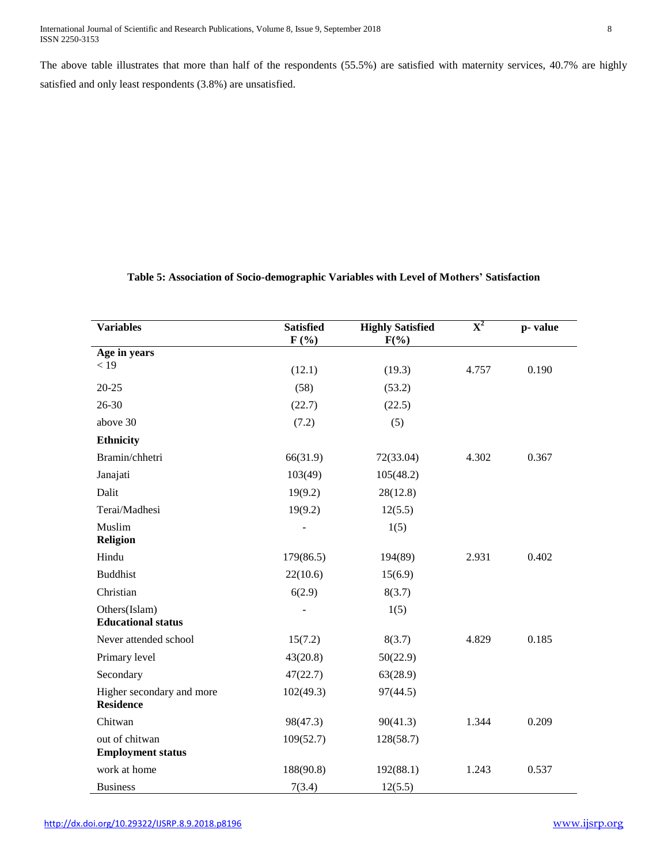The above table illustrates that more than half of the respondents (55.5%) are satisfied with maternity services, 40.7% are highly satisfied and only least respondents (3.8%) are unsatisfied.

# **Table 5: Association of Socio-demographic Variables with Level of Mothers' Satisfaction**

| <b>Variables</b>                              | <b>Satisfied</b><br>$F(\%)$ | <b>Highly Satisfied</b><br>$F(\% )$ | $\overline{\mathbf{X}^2}$ | p-value |
|-----------------------------------------------|-----------------------------|-------------------------------------|---------------------------|---------|
| Age in years                                  |                             |                                     |                           |         |
| < 19                                          | (12.1)                      | (19.3)                              | 4.757                     | 0.190   |
| $20 - 25$                                     | (58)                        | (53.2)                              |                           |         |
| $26 - 30$                                     | (22.7)                      | (22.5)                              |                           |         |
| above 30                                      | (7.2)                       | (5)                                 |                           |         |
| <b>Ethnicity</b>                              |                             |                                     |                           |         |
| Bramin/chhetri                                | 66(31.9)                    | 72(33.04)                           | 4.302                     | 0.367   |
| Janajati                                      | 103(49)                     | 105(48.2)                           |                           |         |
| Dalit                                         | 19(9.2)                     | 28(12.8)                            |                           |         |
| Terai/Madhesi                                 | 19(9.2)                     | 12(5.5)                             |                           |         |
| Muslim                                        |                             | 1(5)                                |                           |         |
| <b>Religion</b>                               |                             |                                     |                           |         |
| Hindu                                         | 179(86.5)                   | 194(89)                             | 2.931                     | 0.402   |
| <b>Buddhist</b>                               | 22(10.6)                    | 15(6.9)                             |                           |         |
| Christian                                     | 6(2.9)                      | 8(3.7)                              |                           |         |
| Others(Islam)                                 |                             | 1(5)                                |                           |         |
| <b>Educational status</b>                     |                             |                                     |                           |         |
| Never attended school                         | 15(7.2)                     | 8(3.7)                              | 4.829                     | 0.185   |
| Primary level                                 | 43(20.8)                    | 50(22.9)                            |                           |         |
| Secondary                                     | 47(22.7)                    | 63(28.9)                            |                           |         |
| Higher secondary and more<br><b>Residence</b> | 102(49.3)                   | 97(44.5)                            |                           |         |
| Chitwan                                       | 98(47.3)                    | 90(41.3)                            | 1.344                     | 0.209   |
| out of chitwan                                | 109(52.7)                   | 128(58.7)                           |                           |         |
| <b>Employment status</b>                      |                             |                                     |                           |         |
| work at home                                  | 188(90.8)                   | 192(88.1)                           | 1.243                     | 0.537   |
| <b>Business</b>                               | 7(3.4)                      | 12(5.5)                             |                           |         |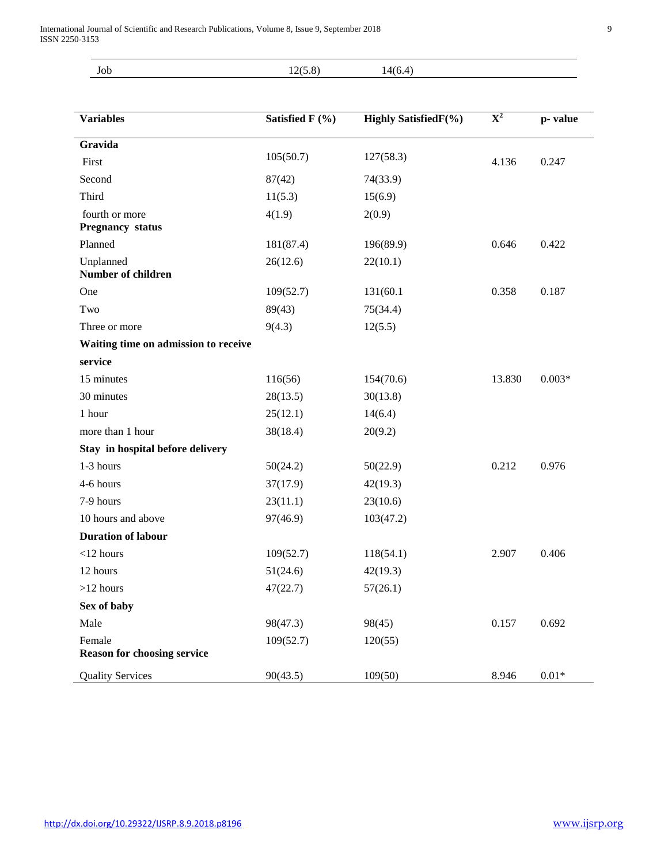| $\sim$ $\sim$<br>JOD | $0 \leq r \leq 0$<br>⌒ | $\Lambda$ <sub>(<math>\epsilon</math></sub> )<br>$\sqrt{2}$ |  |
|----------------------|------------------------|-------------------------------------------------------------|--|
|                      | ں .<br>$-1$            | $\cdots$                                                    |  |

| <b>Variables</b>                       | Satisfied F (%) | <b>Highly SatisfiedF(%)</b> | ${\bf X}^2$ | p-value          |
|----------------------------------------|-----------------|-----------------------------|-------------|------------------|
|                                        |                 |                             |             |                  |
| Gravida                                |                 |                             |             |                  |
| First                                  | 105(50.7)       | 127(58.3)                   | 4.136       | 0.247            |
| Second                                 | 87(42)          | 74(33.9)                    |             |                  |
| Third                                  | 11(5.3)         | 15(6.9)                     |             |                  |
| fourth or more                         | 4(1.9)          | 2(0.9)                      |             |                  |
| <b>Pregnancy status</b>                |                 |                             |             |                  |
| Planned                                | 181(87.4)       | 196(89.9)                   | 0.646       | 0.422            |
| Unplanned<br><b>Number of children</b> | 26(12.6)        | 22(10.1)                    |             |                  |
|                                        |                 |                             |             |                  |
| One                                    | 109(52.7)       | 131(60.1                    | 0.358       | 0.187            |
| Two                                    | 89(43)          | 75(34.4)                    |             |                  |
| Three or more                          | 9(4.3)          | 12(5.5)                     |             |                  |
| Waiting time on admission to receive   |                 |                             |             |                  |
| service                                |                 |                             |             |                  |
| 15 minutes                             | 116(56)         | 154(70.6)                   | 13.830      | $0.003*$         |
| 30 minutes                             | 28(13.5)        | 30(13.8)                    |             |                  |
| 1 hour                                 | 25(12.1)        | 14(6.4)                     |             |                  |
| more than 1 hour                       | 38(18.4)        | 20(9.2)                     |             |                  |
| Stay in hospital before delivery       |                 |                             |             |                  |
| 1-3 hours                              | 50(24.2)        | 50(22.9)                    | 0.212       | 0.976            |
| 4-6 hours                              | 37(17.9)        | 42(19.3)                    |             |                  |
| 7-9 hours                              | 23(11.1)        | 23(10.6)                    |             |                  |
| 10 hours and above                     | 97(46.9)        | 103(47.2)                   |             |                  |
| <b>Duration of labour</b>              |                 |                             |             |                  |
| $<$ 12 hours                           | 109(52.7)       | 118(54.1)                   | 2.907       | 0.406            |
| 12 hours                               | 51(24.6)        | 42(19.3)                    |             |                  |
| $>12$ hours                            | 47(22.7)        | 57(26.1)                    |             |                  |
| Sex of baby                            |                 |                             |             |                  |
| Male                                   | 98(47.3)        | 98(45)                      | 0.157       | 0.692            |
| Female                                 | 109(52.7)       | 120(55)                     |             |                  |
| <b>Reason for choosing service</b>     |                 |                             |             |                  |
| <b>Quality Services</b>                | 90(43.5)        | 109(50)                     | 8.946       | $0.01\mathrm{*}$ |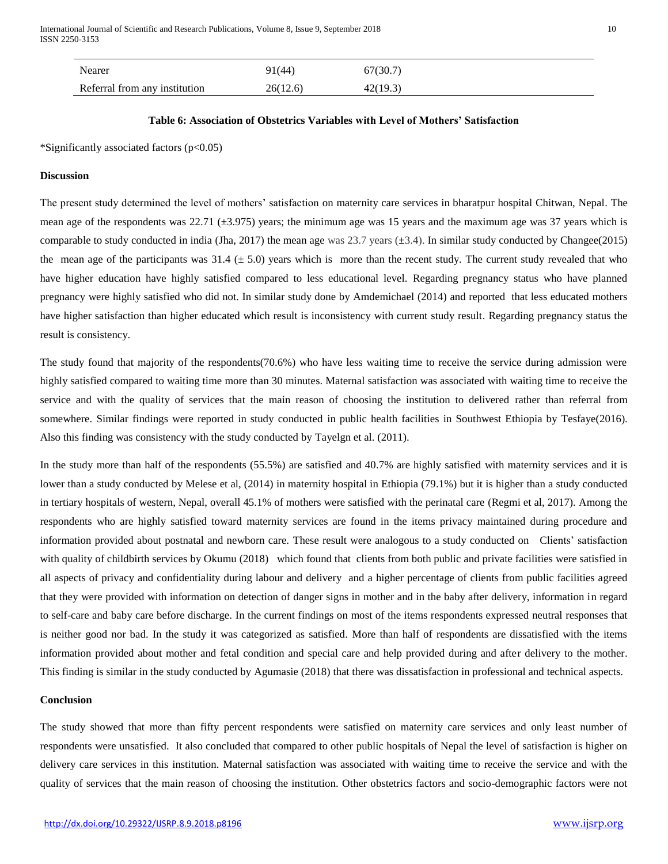| Nearer                        |
|-------------------------------|
| Referral from any institution |

## **Table 6: Association of Obstetrics Variables with Level of Mothers' Satisfaction**

\*Significantly associated factors (p<0.05)

#### **Discussion**

The present study determined the level of mothers' satisfaction on maternity care services in bharatpur hospital Chitwan, Nepal. The mean age of the respondents was  $22.71$  ( $\pm 3.975$ ) years; the minimum age was 15 years and the maximum age was 37 years which is comparable to study conducted in india (Jha, 2017) the mean age was 23.7 years  $(\pm 3.4)$ . In similar study conducted by Changee(2015) the mean age of the participants was  $31.4 \pm 5.0$ ) years which is more than the recent study. The current study revealed that who have higher education have highly satisfied compared to less educational level. Regarding pregnancy status who have planned pregnancy were highly satisfied who did not. In similar study done by Amdemichael (2014) and reported that less educated mothers have higher satisfaction than higher educated which result is inconsistency with current study result. Regarding pregnancy status the result is consistency.

The study found that majority of the respondents(70.6%) who have less waiting time to receive the service during admission were highly satisfied compared to waiting time more than 30 minutes. Maternal satisfaction was associated with waiting time to receive the service and with the quality of services that the main reason of choosing the institution to delivered rather than referral from somewhere. Similar findings were reported in study conducted in public health facilities in Southwest Ethiopia by Tesfaye(2016). Also this finding was consistency with the study conducted by Tayelgn et al. (2011).

In the study more than half of the respondents (55.5%) are satisfied and 40.7% are highly satisfied with maternity services and it is lower than a study conducted by Melese et al, (2014) in maternity hospital in Ethiopia (79.1%) but it is higher than a study conducted in tertiary hospitals of western, Nepal, overall 45.1% of mothers were satisfied with the perinatal care (Regmi et al, 2017). Among the respondents who are highly satisfied toward maternity services are found in the items privacy maintained during procedure and information provided about postnatal and newborn care. These result were analogous to a study conducted on Clients' satisfaction with quality of childbirth services by Okumu (2018) which found that clients from both public and private facilities were satisfied in all aspects of privacy and confidentiality during labour and delivery and a higher percentage of clients from public facilities agreed that they were provided with information on detection of danger signs in mother and in the baby after delivery, information in regard to self-care and baby care before discharge. In the current findings on most of the items respondents expressed neutral responses that is neither good nor bad. In the study it was categorized as satisfied. More than half of respondents are dissatisfied with the items information provided about mother and fetal condition and special care and help provided during and after delivery to the mother. This finding is similar in the study conducted by Agumasie (2018) that there was dissatisfaction in professional and technical aspects.

## **Conclusion**

The study showed that more than fifty percent respondents were satisfied on maternity care services and only least number of respondents were unsatisfied. It also concluded that compared to other public hospitals of Nepal the level of satisfaction is higher on delivery care services in this institution. Maternal satisfaction was associated with waiting time to receive the service and with the quality of services that the main reason of choosing the institution. Other obstetrics factors and socio-demographic factors were not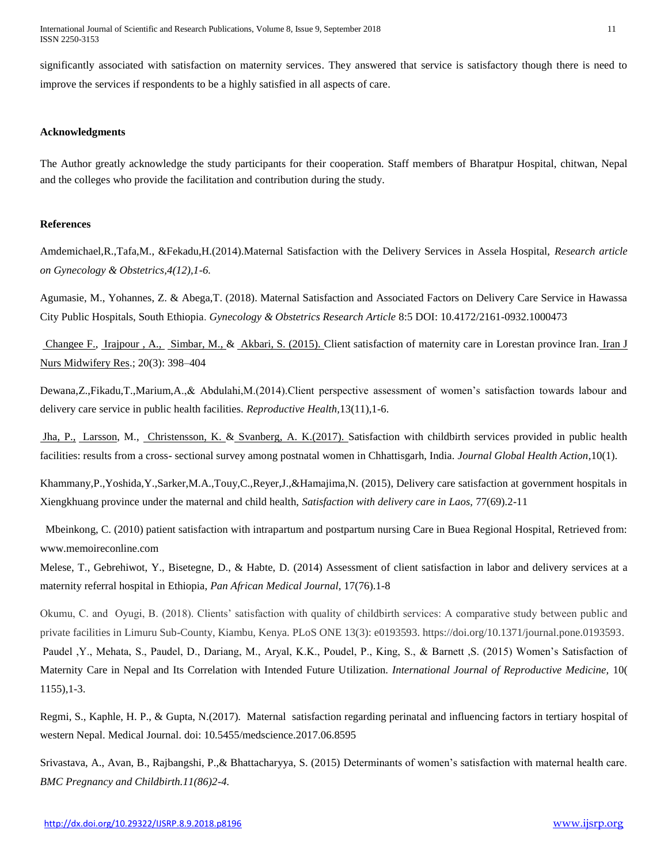International Journal of Scientific and Research Publications, Volume 8, Issue 9, September 2018 11 ISSN 2250-3153

significantly associated with satisfaction on maternity services. They answered that service is satisfactory though there is need to improve the services if respondents to be a highly satisfied in all aspects of care.

## **Acknowledgments**

The Author greatly acknowledge the study participants for their cooperation. Staff members of Bharatpur Hospital, chitwan, Nepal and the colleges who provide the facilitation and contribution during the study.

#### **References**

Amdemichael,R.,Tafa,M., &Fekadu,H.(2014).Maternal Satisfaction with the Delivery Services in Assela Hospital, *Research article on Gynecology & Obstetrics,4(12),1-6.*

Agumasie, M., Yohannes, Z. & Abega,T. (2018). Maternal Satisfaction and Associated Factors on Delivery Care Service in Hawassa City Public Hospitals, South Ethiopia. *Gynecology & Obstetrics Research Article* 8:5 DOI: 10.4172/2161-0932.1000473

[Changee](https://www.ncbi.nlm.nih.gov/pubmed/?term=Changee%20F%5BAuthor%5D&cauthor=true&cauthor_uid=26120342) F., [Irajpour](https://www.ncbi.nlm.nih.gov/pubmed/?term=Irajpour%20A%5BAuthor%5D&cauthor=true&cauthor_uid=26120342) , A., [Simbar,](https://www.ncbi.nlm.nih.gov/pubmed/?term=Simbar%20M%5BAuthor%5D&cauthor=true&cauthor_uid=26120342) M., & [Akbari,](https://www.ncbi.nlm.nih.gov/pubmed/?term=Akbari%20S%5BAuthor%5D&cauthor=true&cauthor_uid=26120342) S. (2015). Client satisfaction of maternity care in Lorestan province Iran. [Iran J](https://www.ncbi.nlm.nih.gov/pmc/articles/PMC4462067/)  [Nurs Midwifery Res.](https://www.ncbi.nlm.nih.gov/pmc/articles/PMC4462067/); 20(3): 398-404

Dewana,Z.,Fikadu,T.,Marium,A.,& Abdulahi,M.(2014).Client perspective assessment of women's satisfaction towards labour and delivery care service in public health facilities. *Reproductive Health,*13(11),1-6.

[Jha,](https://www.tandfonline.com/author/Jha%2C+Paridhi) P., [Larsson,](https://www.tandfonline.com/author/Larsson%2C+Margareta) M., [Christensson,](https://www.tandfonline.com/author/Christensson%2C+Kyllike) K. & [Svanberg,](https://www.tandfonline.com/author/Skoog+Svanberg%2C+Agneta) A. K.(2017). Satisfaction with childbirth services provided in public health facilities: results from a cross- sectional survey among postnatal women in Chhattisgarh, India. *Journal Global Health Action*,10(1).

Khammany,P.,Yoshida,Y.,Sarker,M.A.,Touy,C.,Reyer,J.,&Hamajima,N. (2015), Delivery care satisfaction at government hospitals in Xiengkhuang province under the maternal and child health, *Satisfaction with delivery care in Laos,* 77(69).2-11

 Mbeinkong, C. (2010) patient satisfaction with intrapartum and postpartum nursing Care in Buea Regional Hospital, Retrieved from: www.memoireconline.com

Melese, T., Gebrehiwot, Y., Bisetegne, D., & Habte, D. (2014) Assessment of client satisfaction in labor and delivery services at a maternity referral hospital in Ethiopia, *Pan African Medical Journal,* 17(76).1-8

Okumu, C. and Oyugi, B. (2018). Clients' satisfaction with quality of childbirth services: A comparative study between public and private facilities in Limuru Sub-County, Kiambu, Kenya. PLoS ONE 13(3): e0193593. https://doi.org/10.1371/journal.pone.0193593. Paudel ,Y., Mehata, S., Paudel, D., Dariang, M., Aryal, K.K., Poudel, P., King, S., & Barnett ,S. (2015) Women's Satisfaction of Maternity Care in Nepal and Its Correlation with Intended Future Utilization. *International Journal of Reproductive Medicine,* 10( 1155),1-3.

Regmi, S., Kaphle, H. P., & Gupta, N.(2017). Maternal satisfaction regarding perinatal and influencing factors in tertiary hospital of western Nepal. Medical Journal. doi: 10.5455/medscience.2017.06.8595

Srivastava, A., Avan, B., Rajbangshi, P.,& Bhattacharyya, S. (2015) Determinants of women's satisfaction with maternal health care. *BMC Pregnancy and Childbirth.11(86)2-4.*